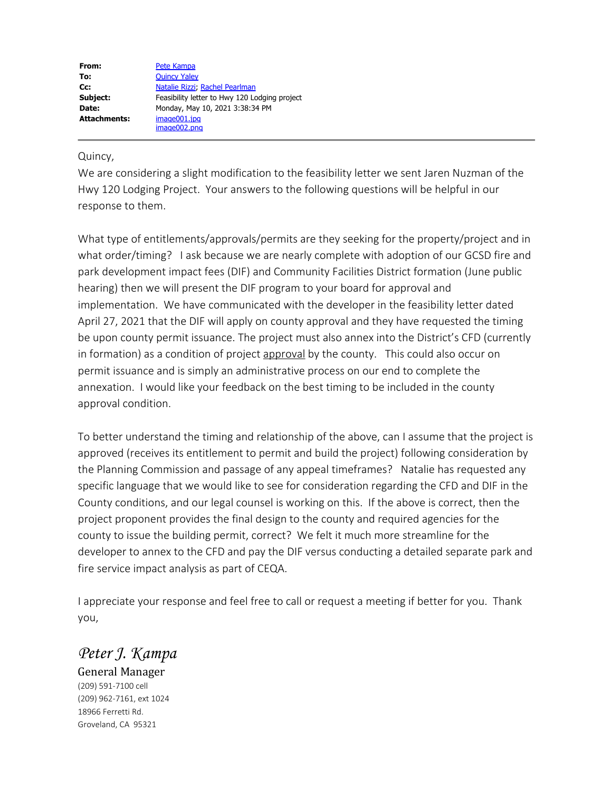| From:               | Pete Kampa                                    |
|---------------------|-----------------------------------------------|
| To:                 | <b>Quincy Yaley</b>                           |
| Cc:                 | Natalie Rizzi, Rachel Pearlman                |
| Subject:            | Feasibility letter to Hwy 120 Lodging project |
| Date:               | Monday, May 10, 2021 3:38:34 PM               |
| <b>Attachments:</b> | image001.jpg                                  |
|                     | image002.png                                  |

## Quincy,

We are considering a slight modification to the feasibility letter we sent Jaren Nuzman of the Hwy 120 Lodging Project. Your answers to the following questions will be helpful in our response to them.

What type of entitlements/approvals/permits are they seeking for the property/project and in what order/timing? I ask because we are nearly complete with adoption of our GCSD fire and park development impact fees (DIF) and Community Facilities District formation (June public hearing) then we will present the DIF program to your board for approval and implementation. We have communicated with the developer in the feasibility letter dated April 27, 2021 that the DIF will apply on county approval and they have requested the timing be upon county permit issuance. The project must also annex into the District's CFD (currently in formation) as a condition of project approval by the county. This could also occur on permit issuance and is simply an administrative process on our end to complete the annexation. I would like your feedback on the best timing to be included in the county approval condition.

To better understand the timing and relationship of the above, can I assume that the project is approved (receives its entitlement to permit and build the project) following consideration by the Planning Commission and passage of any appeal timeframes? Natalie has requested any specific language that we would like to see for consideration regarding the CFD and DIF in the County conditions, and our legal counsel is working on this. If the above is correct, then the project proponent provides the final design to the county and required agencies for the county to issue the building permit, correct? We felt it much more streamline for the developer to annex to the CFD and pay the DIF versus conducting a detailed separate park and fire service impact analysis as part of CEQA.

I appreciate your response and feel free to call or request a meeting if better for you. Thank you,

## *Peter J. Kampa*

General Manager (209) 591-7100 cell (209) 962-7161, ext 1024 18966 Ferretti Rd. Groveland, CA 95321